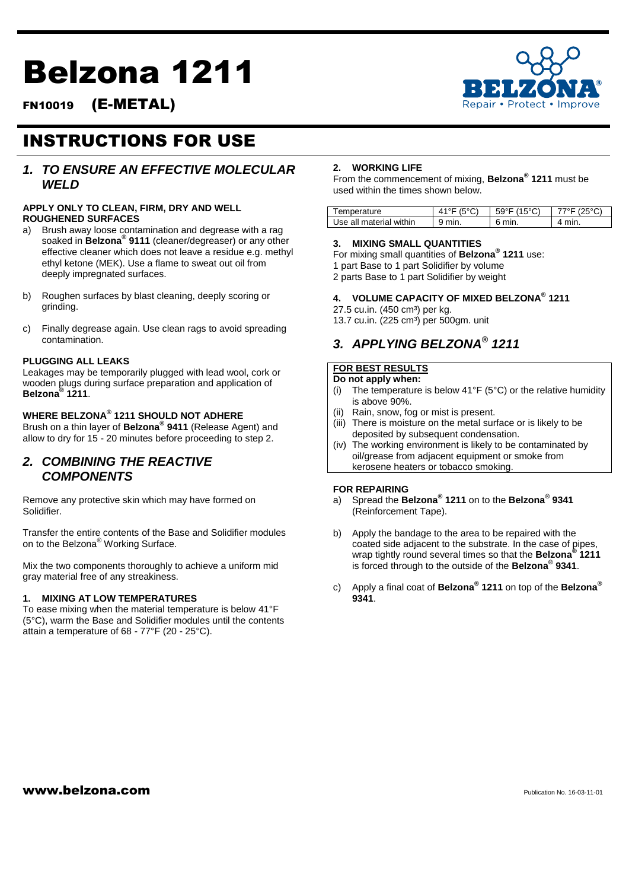# Belzona 1211



FN10019 (E-METAL)

## INSTRUCTIONS FOR USE

### *1. TO ENSURE AN EFFECTIVE MOLECULAR WELD*

### **APPLY ONLY TO CLEAN, FIRM, DRY AND WELL ROUGHENED SURFACES**

- a) Brush away loose contamination and degrease with a rag soaked in **Belzona® 9111** (cleaner/degreaser) or any other effective cleaner which does not leave a residue e.g. methyl ethyl ketone (MEK). Use a flame to sweat out oil from deeply impregnated surfaces.
- b) Roughen surfaces by blast cleaning, deeply scoring or grinding.
- c) Finally degrease again. Use clean rags to avoid spreading contamination.

### **PLUGGING ALL LEAKS**

Leakages may be temporarily plugged with lead wool, cork or wooden plugs during surface preparation and application of **Belzona® 1211**.

### **WHERE BELZONA® 1211 SHOULD NOT ADHERE**

Brush on a thin layer of **Belzona® 9411** (Release Agent) and allow to dry for 15 - 20 minutes before proceeding to step 2.

### *2. COMBINING THE REACTIVE COMPONENTS*

Remove any protective skin which may have formed on Solidifier.

Transfer the entire contents of the Base and Solidifier modules on to the Belzona® Working Surface.

Mix the two components thoroughly to achieve a uniform mid gray material free of any streakiness.

### **1. MIXING AT LOW TEMPERATURES**

To ease mixing when the material temperature is below 41°F (5°C), warm the Base and Solidifier modules until the contents attain a temperature of 68 - 77°F (20 - 25°C).

### **2. WORKING LIFE**

From the commencement of mixing, **Belzona® 1211** must be used within the times shown below.

| 'emperature              |            |     |                |
|--------------------------|------------|-----|----------------|
| Ise all material within. | min<br>. . | min | $\overline{ }$ |

### **3. MIXING SMALL QUANTITIES**

For mixing small quantities of **Belzona® 1211** use:

- 1 part Base to 1 part Solidifier by volume
- 2 parts Base to 1 part Solidifier by weight

### **4. VOLUME CAPACITY OF MIXED BELZONA® 1211**

- 27.5 cu.in. (450 cm<sup>3</sup>) per kg.
- 13.7 cu.in. (225 cm<sup>3</sup>) per 500gm. unit

### *3. APPLYING BELZONA® 1211*

### **FOR BEST RESULTS**

#### **Do not apply when:**

- (i) The temperature is below  $41^{\circ}F$  (5°C) or the relative humidity is above 90%.
- (ii) Rain, snow, fog or mist is present.
- (iii) There is moisture on the metal surface or is likely to be deposited by subsequent condensation.
- (iv) The working environment is likely to be contaminated by oil/grease from adjacent equipment or smoke from kerosene heaters or tobacco smoking.

#### **FOR REPAIRING**

- a) Spread the **Belzona® 1211** on to the **Belzona® 9341**  (Reinforcement Tape).
- b) Apply the bandage to the area to be repaired with the coated side adjacent to the substrate. In the case of pipes, wrap tightly round several times so that the **Belzona® 1211**  is forced through to the outside of the **Belzona® 9341**.
- c) Apply a final coat of **Belzona® 1211** on top of the **Belzona® 9341**.